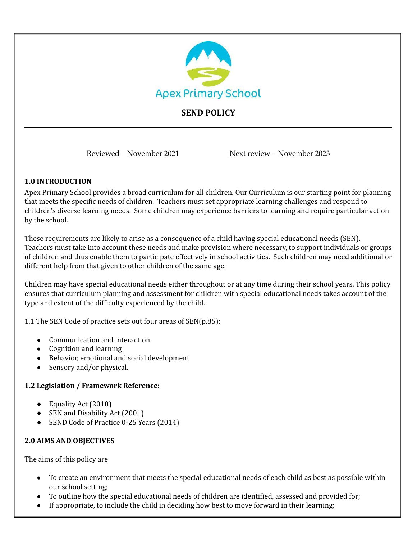

## **SEND POLICY**

Reviewed – November 2021 Next review – November 2023

#### **1.0 INTRODUCTION**

Apex Primary School provides a broad curriculum for all children. Our Curriculum is our starting point for planning that meets the specific needs of children. Teachers must set appropriate learning challenges and respond to children's diverse learning needs. Some children may experience barriers to learning and require particular action by the school.

These requirements are likely to arise as a consequence of a child having special educational needs (SEN). Teachers must take into account these needs and make provision where necessary, to support individuals or groups of children and thus enable them to participate effectively in school activities. Such children may need additional or different help from that given to other children of the same age.

Children may have special educational needs either throughout or at any time during their school years. This policy ensures that curriculum planning and assessment for children with special educational needs takes account of the type and extent of the difficulty experienced by the child.

1.1 The SEN Code of practice sets out four areas of SEN(p.85):

- Communication and interaction
- Cognition and learning
- Behavior, emotional and social development
- Sensory and/or physical.

#### **1.2 Legislation / Framework Reference:**

- Equality Act (2010)
- SEN and Disability Act (2001)
- SEND Code of Practice 0-25 Years (2014)

#### **2.0 AIMS AND OBJECTIVES**

The aims of this policy are:

- To create an environment that meets the special educational needs of each child as best as possible within our school setting;
- To outline how the special educational needs of children are identified, assessed and provided for;
- If appropriate, to include the child in deciding how best to move forward in their learning;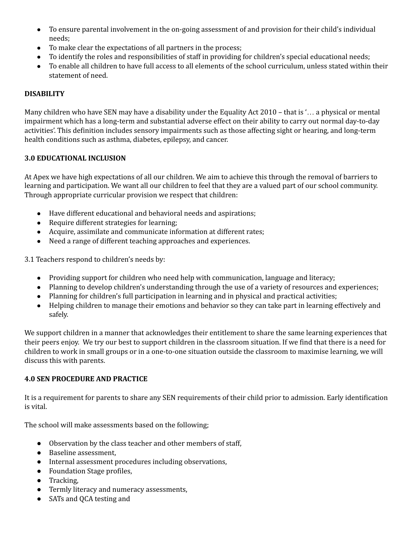- To ensure parental involvement in the on-going assessment of and provision for their child's individual needs;
- To make clear the expectations of all partners in the process;
- To identify the roles and responsibilities of staff in providing for children's special educational needs;
- To enable all children to have full access to all elements of the school curriculum, unless stated within their statement of need.

## **DISABILITY**

Many children who have SEN may have a disability under the Equality Act 2010 – that is '… a physical or mental impairment which has a long-term and substantial adverse effect on their ability to carry out normal day-to-day activities'. This definition includes sensory impairments such as those affecting sight or hearing, and long-term health conditions such as asthma, diabetes, epilepsy, and cancer.

#### **3.0 EDUCATIONAL INCLUSION**

At Apex we have high expectations of all our children. We aim to achieve this through the removal of barriers to learning and participation. We want all our children to feel that they are a valued part of our school community. Through appropriate curricular provision we respect that children:

- Have different educational and behavioral needs and aspirations;
- Require different strategies for learning;
- Acquire, assimilate and communicate information at different rates;
- Need a range of different teaching approaches and experiences.

3.1 Teachers respond to children's needs by:

- Providing support for children who need help with communication, language and literacy;
- Planning to develop children's understanding through the use of a variety of resources and experiences;
- Planning for children's full participation in learning and in physical and practical activities;
- Helping children to manage their emotions and behavior so they can take part in learning effectively and safely.

We support children in a manner that acknowledges their entitlement to share the same learning experiences that their peers enjoy. We try our best to support children in the classroom situation. If we find that there is a need for children to work in small groups or in a one-to-one situation outside the classroom to maximise learning, we will discuss this with parents.

#### **4.0 SEN PROCEDURE AND PRACTICE**

It is a requirement for parents to share any SEN requirements of their child prior to admission. Early identification is vital.

The school will make assessments based on the following;

- Observation by the class teacher and other members of staff,
- Baseline assessment,
- Internal assessment procedures including observations,
- Foundation Stage profiles,
- Tracking,
- Termly literacy and numeracy assessments,
- SATs and QCA testing and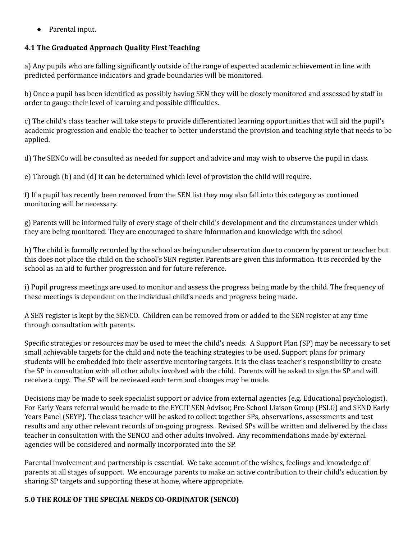● Parental input.

## **4.1 The Graduated Approach Quality First Teaching**

a) Any pupils who are falling significantly outside of the range of expected academic achievement in line with predicted performance indicators and grade boundaries will be monitored.

b) Once a pupil has been identified as possibly having SEN they will be closely monitored and assessed by staff in order to gauge their level of learning and possible difficulties.

c) The child's class teacher will take steps to provide differentiated learning opportunities that will aid the pupil's academic progression and enable the teacher to better understand the provision and teaching style that needs to be applied.

d) The SENCo will be consulted as needed for support and advice and may wish to observe the pupil in class.

e) Through (b) and (d) it can be determined which level of provision the child will require.

f) If a pupil has recently been removed from the SEN list they may also fall into this category as continued monitoring will be necessary.

g) Parents will be informed fully of every stage of their child's development and the circumstances under which they are being monitored. They are encouraged to share information and knowledge with the school

h) The child is formally recorded by the school as being under observation due to concern by parent or teacher but this does not place the child on the school's SEN register. Parents are given this information. It is recorded by the school as an aid to further progression and for future reference.

i) Pupil progress meetings are used to monitor and assess the progress being made by the child. The frequency of these meetings is dependent on the individual child's needs and progress being made.

A SEN register is kept by the SENCO. Children can be removed from or added to the SEN register at any time through consultation with parents.

Specific strategies or resources may be used to meet the child's needs. A Support Plan (SP) may be necessary to set small achievable targets for the child and note the teaching strategies to be used. Support plans for primary students will be embedded into their assertive mentoring targets. It is the class teacher's responsibility to create the SP in consultation with all other adults involved with the child. Parents will be asked to sign the SP and will receive a copy. The SP will be reviewed each term and changes may be made.

Decisions may be made to seek specialist support or advice from external agencies (e.g. Educational psychologist). For Early Years referral would be made to the EYCIT SEN Advisor, Pre-School Liaison Group (PSLG) and SEND Early Years Panel (SEYP). The class teacher will be asked to collect together SPs, observations, assessments and test results and any other relevant records of on-going progress. Revised SPs will be written and delivered by the class teacher in consultation with the SENCO and other adults involved. Any recommendations made by external agencies will be considered and normally incorporated into the SP.

Parental involvement and partnership is essential. We take account of the wishes, feelings and knowledge of parents at all stages of support. We encourage parents to make an active contribution to their child's education by sharing SP targets and supporting these at home, where appropriate.

#### **5.0 THE ROLE OF THE SPECIAL NEEDS CO-ORDINATOR (SENCO)**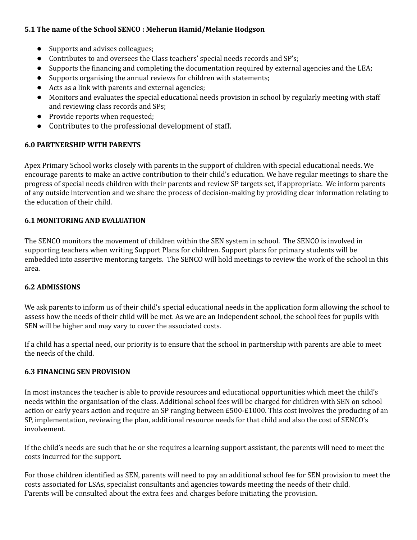#### **5.1 The name of the School SENCO : Meherun Hamid/Melanie Hodgson**

- Supports and advises colleagues;
- Contributes to and oversees the Class teachers' special needs records and SP's;
- Supports the financing and completing the documentation required by external agencies and the LEA;
- Supports organising the annual reviews for children with statements;
- Acts as a link with parents and external agencies;
- Monitors and evaluates the special educational needs provision in school by regularly meeting with staff and reviewing class records and SPs;
- Provide reports when requested;
- Contributes to the professional development of staff.

## **6.0 PARTNERSHIP WITH PARENTS**

Apex Primary School works closely with parents in the support of children with special educational needs. We encourage parents to make an active contribution to their child's education. We have regular meetings to share the progress of special needs children with their parents and review SP targets set, if appropriate. We inform parents of any outside intervention and we share the process of decision-making by providing clear information relating to the education of their child.

## **6.1 MONITORING AND EVALUATION**

The SENCO monitors the movement of children within the SEN system in school. The SENCO is involved in supporting teachers when writing Support Plans for children. Support plans for primary students will be embedded into assertive mentoring targets. The SENCO will hold meetings to review the work of the school in this area.

#### **6.2 ADMISSIONS**

We ask parents to inform us of their child's special educational needs in the application form allowing the school to assess how the needs of their child will be met. As we are an Independent school, the school fees for pupils with SEN will be higher and may vary to cover the associated costs.

If a child has a special need, our priority is to ensure that the school in partnership with parents are able to meet the needs of the child.

#### **6.3 FINANCING SEN PROVISION**

In most instances the teacher is able to provide resources and educational opportunities which meet the child's needs within the organisation of the class. Additional school fees will be charged for children with SEN on school action or early years action and require an SP ranging between £500-£1000. This cost involves the producing of an SP, implementation, reviewing the plan, additional resource needs for that child and also the cost of SENCO's involvement.

If the child's needs are such that he or she requires a learning support assistant, the parents will need to meet the costs incurred for the support.

For those children identified as SEN, parents will need to pay an additional school fee for SEN provision to meet the costs associated for LSAs, specialist consultants and agencies towards meeting the needs of their child. Parents will be consulted about the extra fees and charges before initiating the provision.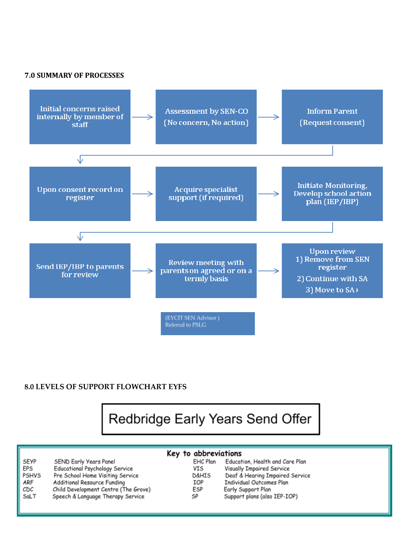#### **7.0 SUMMARY OF PROCESSES**



#### **8.0 LEVELS OF SUPPORT FLOWCHART EYFS**

Redbridge Early Years Send Offer

| SEYP         |
|--------------|
| EPS          |
| <b>PSHVS</b> |
| ARF          |
| CDC          |
| SaLT         |

SEND Early Years Panel Educational Psychology Service Pre School Home Visiting Service Additional Resource Funding Child Development Centre (The Grove) Speech & Language Therapy Service

## Key to abbreviations

| EHC Plan         | Education, Health and Care Plan |  |
|------------------|---------------------------------|--|
| VIS              | Visually Impaired Service       |  |
| <b>D&amp;HIS</b> | Deaf & Hearing Impaired Service |  |
| <b>TOP</b>       | Individual Outcomes Plan        |  |
| ESP              | Early Support Plan              |  |
| SP               | Support plans (also IEP-IOP)    |  |
|                  |                                 |  |